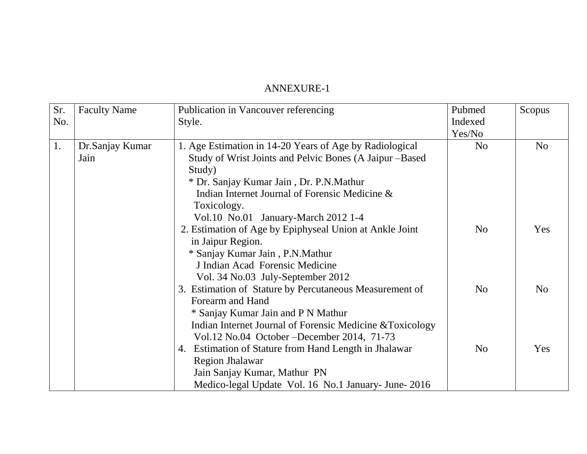## ANNEXURE-1

| Sr. | <b>Faculty Name</b> | Publication in Vancouver referencing                      | Pubmed         | Scopus         |
|-----|---------------------|-----------------------------------------------------------|----------------|----------------|
| No. |                     | Style.                                                    | Indexed        |                |
|     |                     |                                                           | Yes/No         |                |
| 1.  | Dr.Sanjay Kumar     | 1. Age Estimation in 14-20 Years of Age by Radiological   | N <sub>o</sub> | N <sub>o</sub> |
|     | Jain                | Study of Wrist Joints and Pelvic Bones (A Jaipur – Based  |                |                |
|     |                     | Study)                                                    |                |                |
|     |                     | * Dr. Sanjay Kumar Jain, Dr. P.N.Mathur                   |                |                |
|     |                     | Indian Internet Journal of Forensic Medicine &            |                |                |
|     |                     | Toxicology.                                               |                |                |
|     |                     | Vol.10 No.01 January-March 2012 1-4                       |                |                |
|     |                     | 2. Estimation of Age by Epiphyseal Union at Ankle Joint   | N <sub>o</sub> | Yes            |
|     |                     | in Jaipur Region.                                         |                |                |
|     |                     | * Sanjay Kumar Jain, P.N.Mathur                           |                |                |
|     |                     | J Indian Acad Forensic Medicine                           |                |                |
|     |                     | Vol. 34 No.03 July-September 2012                         |                |                |
|     |                     | 3. Estimation of Stature by Percutaneous Measurement of   | N <sub>o</sub> | N <sub>o</sub> |
|     |                     | Forearm and Hand                                          |                |                |
|     |                     | * Sanjay Kumar Jain and P N Mathur                        |                |                |
|     |                     | Indian Internet Journal of Forensic Medicine & Toxicology |                |                |
|     |                     | Vol.12 No.04 October – December 2014, 71-73               |                |                |
|     |                     | 4. Estimation of Stature from Hand Length in Jhalawar     | N <sub>0</sub> | Yes            |
|     |                     | <b>Region Jhalawar</b>                                    |                |                |
|     |                     | Jain Sanjay Kumar, Mathur PN                              |                |                |
|     |                     | Medico-legal Update Vol. 16 No.1 January- June- 2016      |                |                |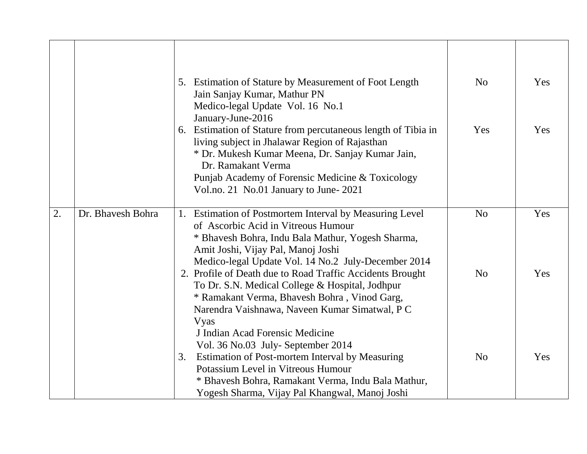|    |                   | Estimation of Stature by Measurement of Foot Length<br>5.<br>Jain Sanjay Kumar, Mathur PN<br>Medico-legal Update Vol. 16 No.1<br>January-June-2016                                                                                                                                        | N <sub>o</sub> | Yes |
|----|-------------------|-------------------------------------------------------------------------------------------------------------------------------------------------------------------------------------------------------------------------------------------------------------------------------------------|----------------|-----|
|    |                   | Estimation of Stature from percutaneous length of Tibia in<br>6.<br>living subject in Jhalawar Region of Rajasthan<br>* Dr. Mukesh Kumar Meena, Dr. Sanjay Kumar Jain,<br>Dr. Ramakant Verma<br>Punjab Academy of Forensic Medicine & Toxicology<br>Vol.no. 21 No.01 January to June-2021 | Yes            | Yes |
| 2. | Dr. Bhavesh Bohra | Estimation of Postmortem Interval by Measuring Level<br>1.<br>of Ascorbic Acid in Vitreous Humour<br>* Bhavesh Bohra, Indu Bala Mathur, Yogesh Sharma,<br>Amit Joshi, Vijay Pal, Manoj Joshi<br>Medico-legal Update Vol. 14 No.2 July-December 2014                                       | N <sub>o</sub> | Yes |
|    |                   | 2. Profile of Death due to Road Traffic Accidents Brought<br>To Dr. S.N. Medical College & Hospital, Jodhpur<br>* Ramakant Verma, Bhavesh Bohra, Vinod Garg,<br>Narendra Vaishnawa, Naveen Kumar Simatwal, PC<br>Vyas                                                                     | N <sub>o</sub> | Yes |
|    |                   | J Indian Acad Forensic Medicine<br>Vol. 36 No.03 July- September 2014<br>Estimation of Post-mortem Interval by Measuring<br>3.<br>Potassium Level in Vitreous Humour<br>* Bhavesh Bohra, Ramakant Verma, Indu Bala Mathur,<br>Yogesh Sharma, Vijay Pal Khangwal, Manoj Joshi              | N <sub>o</sub> | Yes |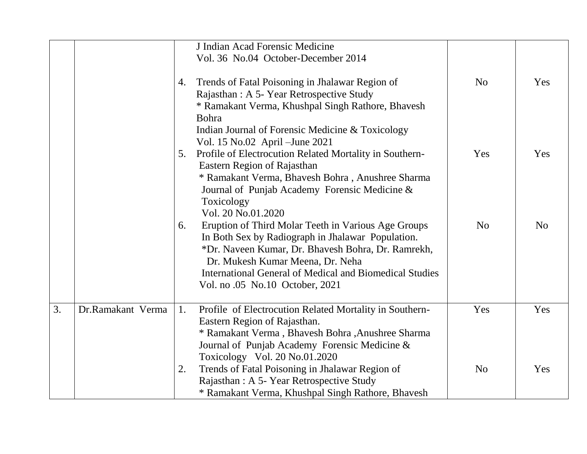|    |                   |    | J Indian Acad Forensic Medicine<br>Vol. 36 No.04 October-December 2014                                                                                                                                 |                |                |
|----|-------------------|----|--------------------------------------------------------------------------------------------------------------------------------------------------------------------------------------------------------|----------------|----------------|
|    |                   | 4. | Trends of Fatal Poisoning in Jhalawar Region of<br>Rajasthan: A 5- Year Retrospective Study<br>* Ramakant Verma, Khushpal Singh Rathore, Bhavesh                                                       | N <sub>o</sub> | Yes            |
|    |                   |    | Bohra<br>Indian Journal of Forensic Medicine & Toxicology<br>Vol. 15 No.02 April – June 2021                                                                                                           |                |                |
|    |                   | 5. | Profile of Electrocution Related Mortality in Southern-<br>Eastern Region of Rajasthan<br>* Ramakant Verma, Bhavesh Bohra, Anushree Sharma                                                             | Yes            | Yes            |
|    |                   |    | Journal of Punjab Academy Forensic Medicine &<br>Toxicology                                                                                                                                            |                |                |
|    |                   | 6. | Vol. 20 No.01.2020<br>Eruption of Third Molar Teeth in Various Age Groups                                                                                                                              | N <sub>o</sub> | N <sub>o</sub> |
|    |                   |    | In Both Sex by Radiograph in Jhalawar Population.<br>*Dr. Naveen Kumar, Dr. Bhavesh Bohra, Dr. Ramrekh,<br>Dr. Mukesh Kumar Meena, Dr. Neha<br>International General of Medical and Biomedical Studies |                |                |
|    |                   |    | Vol. no .05 No.10 October, 2021                                                                                                                                                                        |                |                |
| 3. | Dr.Ramakant Verma | 1. | Profile of Electrocution Related Mortality in Southern-<br>Eastern Region of Rajasthan.                                                                                                                | Yes            | Yes            |
|    |                   |    | * Ramakant Verma, Bhavesh Bohra, Anushree Sharma<br>Journal of Punjab Academy Forensic Medicine &<br>Toxicology Vol. 20 No.01.2020                                                                     |                |                |
|    |                   | 2. | Trends of Fatal Poisoning in Jhalawar Region of<br>Rajasthan: A 5- Year Retrospective Study<br>* Ramakant Verma, Khushpal Singh Rathore, Bhavesh                                                       | N <sub>o</sub> | Yes            |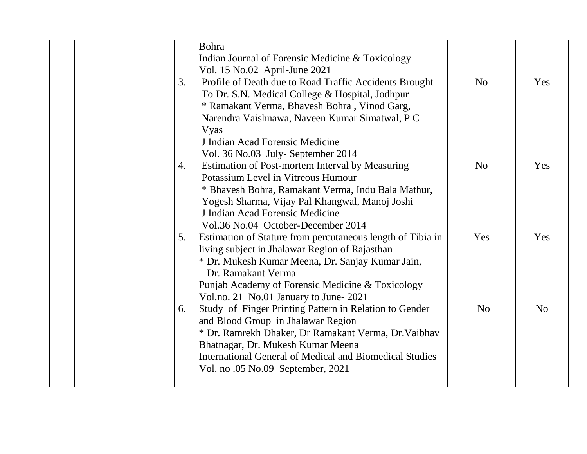|  |    | Bohra                                                          |                |                |
|--|----|----------------------------------------------------------------|----------------|----------------|
|  |    | Indian Journal of Forensic Medicine & Toxicology               |                |                |
|  |    | Vol. 15 No.02 April-June 2021                                  |                |                |
|  | 3. | Profile of Death due to Road Traffic Accidents Brought         | N <sub>o</sub> | Yes            |
|  |    | To Dr. S.N. Medical College & Hospital, Jodhpur                |                |                |
|  |    | * Ramakant Verma, Bhavesh Bohra, Vinod Garg,                   |                |                |
|  |    | Narendra Vaishnawa, Naveen Kumar Simatwal, PC                  |                |                |
|  |    | Vyas                                                           |                |                |
|  |    | J Indian Acad Forensic Medicine                                |                |                |
|  |    | Vol. 36 No.03 July- September 2014                             |                |                |
|  | 4. | Estimation of Post-mortem Interval by Measuring                | N <sub>o</sub> | Yes            |
|  |    | Potassium Level in Vitreous Humour                             |                |                |
|  |    | * Bhavesh Bohra, Ramakant Verma, Indu Bala Mathur,             |                |                |
|  |    | Yogesh Sharma, Vijay Pal Khangwal, Manoj Joshi                 |                |                |
|  |    | J Indian Acad Forensic Medicine                                |                |                |
|  |    | Vol.36 No.04 October-December 2014                             |                |                |
|  | 5. | Estimation of Stature from percutaneous length of Tibia in     | Yes            | Yes            |
|  |    | living subject in Jhalawar Region of Rajasthan                 |                |                |
|  |    | * Dr. Mukesh Kumar Meena, Dr. Sanjay Kumar Jain,               |                |                |
|  |    | Dr. Ramakant Verma                                             |                |                |
|  |    | Punjab Academy of Forensic Medicine & Toxicology               |                |                |
|  |    | Vol.no. 21 No.01 January to June-2021                          |                |                |
|  | 6. | Study of Finger Printing Pattern in Relation to Gender         | N <sub>o</sub> | N <sub>o</sub> |
|  |    | and Blood Group in Jhalawar Region                             |                |                |
|  |    | * Dr. Ramrekh Dhaker, Dr Ramakant Verma, Dr. Vaibhav           |                |                |
|  |    | Bhatnagar, Dr. Mukesh Kumar Meena                              |                |                |
|  |    | <b>International General of Medical and Biomedical Studies</b> |                |                |
|  |    | Vol. no .05 No.09 September, 2021                              |                |                |
|  |    |                                                                |                |                |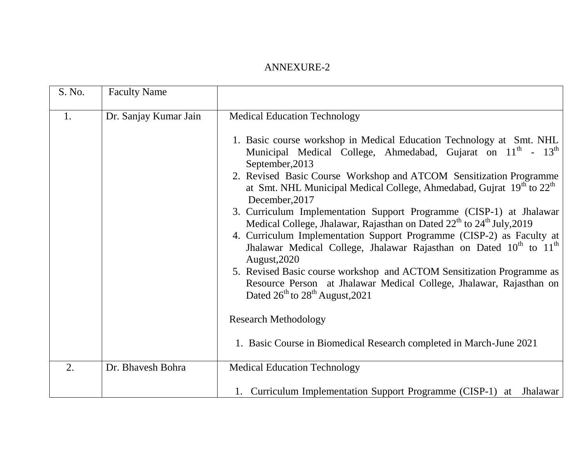## ANNEXURE-2

| S. No. | <b>Faculty Name</b>   |                                                                                                                                                                                                                                                                                                                                                                                                                                                                                                                                                                                                                                                                                                                                                                                                                                                                                                                                                                                                                                                               |
|--------|-----------------------|---------------------------------------------------------------------------------------------------------------------------------------------------------------------------------------------------------------------------------------------------------------------------------------------------------------------------------------------------------------------------------------------------------------------------------------------------------------------------------------------------------------------------------------------------------------------------------------------------------------------------------------------------------------------------------------------------------------------------------------------------------------------------------------------------------------------------------------------------------------------------------------------------------------------------------------------------------------------------------------------------------------------------------------------------------------|
| 1.     | Dr. Sanjay Kumar Jain | <b>Medical Education Technology</b><br>1. Basic course workshop in Medical Education Technology at Smt. NHL<br>Municipal Medical College, Ahmedabad, Gujarat on 11 <sup>th</sup> - 13 <sup>th</sup><br>September, 2013<br>2. Revised Basic Course Workshop and ATCOM Sensitization Programme<br>at Smt. NHL Municipal Medical College, Ahmedabad, Gujrat $19th$ to $22th$<br>December, 2017<br>3. Curriculum Implementation Support Programme (CISP-1) at Jhalawar<br>Medical College, Jhalawar, Rajasthan on Dated 22 <sup>th</sup> to 24 <sup>th</sup> July, 2019<br>4. Curriculum Implementation Support Programme (CISP-2) as Faculty at<br>Jhalawar Medical College, Jhalawar Rajasthan on Dated $10^{th}$ to $11^{th}$<br>August, 2020<br>5. Revised Basic course workshop and ACTOM Sensitization Programme as<br>Resource Person at Jhalawar Medical College, Jhalawar, Rajasthan on<br>Dated 26 <sup>th</sup> to 28 <sup>th</sup> August, 2021<br><b>Research Methodology</b><br>1. Basic Course in Biomedical Research completed in March-June 2021 |
| 2.     | Dr. Bhavesh Bohra     | <b>Medical Education Technology</b><br>1. Curriculum Implementation Support Programme (CISP-1) at Jhalawar                                                                                                                                                                                                                                                                                                                                                                                                                                                                                                                                                                                                                                                                                                                                                                                                                                                                                                                                                    |